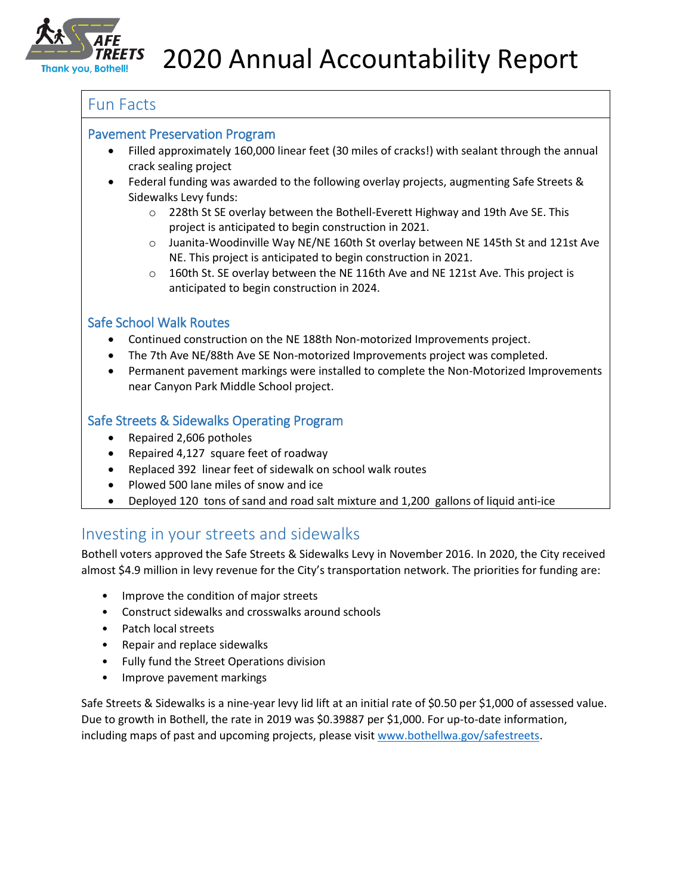

# Fun Facts

#### Pavement Preservation Program

- Filled approximately 160,000 linear feet (30 miles of cracks!) with sealant through the annual crack sealing project
- Federal funding was awarded to the following overlay projects, augmenting Safe Streets & Sidewalks Levy funds:
	- o 228th St SE overlay between the Bothell-Everett Highway and 19th Ave SE. This project is anticipated to begin construction in 2021.
	- o Juanita-Woodinville Way NE/NE 160th St overlay between NE 145th St and 121st Ave NE. This project is anticipated to begin construction in 2021.
	- $\circ$  160th St. SE overlay between the NE 116th Ave and NE 121st Ave. This project is anticipated to begin construction in 2024.

### Safe School Walk Routes

- Continued construction on the NE 188th Non-motorized Improvements project.
- The 7th Ave NE/88th Ave SE Non-motorized Improvements project was completed.
- Permanent pavement markings were installed to complete the Non-Motorized Improvements near Canyon Park Middle School project.

## Safe Streets & Sidewalks Operating Program

- Repaired 2,606 potholes
- Repaired 4,127 square feet of roadway
- Replaced 392 linear feet of sidewalk on school walk routes
- Plowed 500 lane miles of snow and ice
- Deployed 120 tons of sand and road salt mixture and 1,200 gallons of liquid anti-ice

# Investing in your streets and sidewalks

Bothell voters approved the Safe Streets & Sidewalks Levy in November 2016. In 2020, the City received almost \$4.9 million in levy revenue for the City's transportation network. The priorities for funding are:

- Improve the condition of major streets
- Construct sidewalks and crosswalks around schools
- Patch local streets
- Repair and replace sidewalks
- Fully fund the Street Operations division
- Improve pavement markings

Safe Streets & Sidewalks is a nine-year levy lid lift at an initial rate of \$0.50 per \$1,000 of assessed value. Due to growth in Bothell, the rate in 2019 was \$0.39887 per \$1,000. For up-to-date information, including maps of past and upcoming projects, please visit [www.bothellwa.gov/safestreets.](http://www.bothellwa.gov/safestreets)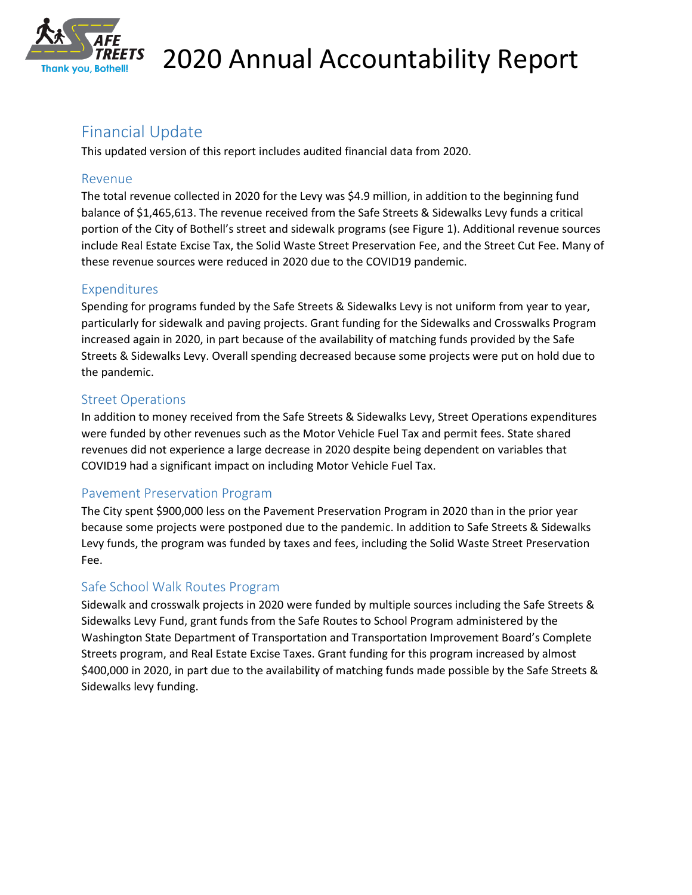

# Financial Update

This updated version of this report includes audited financial data from 2020.

#### Revenue

The total revenue collected in 2020 for the Levy was \$4.9 million, in addition to the beginning fund balance of \$1,465,613. The revenue received from the Safe Streets & Sidewalks Levy funds a critical portion of the City of Bothell's street and sidewalk programs (see Figure 1). Additional revenue sources include Real Estate Excise Tax, the Solid Waste Street Preservation Fee, and the Street Cut Fee. Many of these revenue sources were reduced in 2020 due to the COVID19 pandemic.

### Expenditures

Spending for programs funded by the Safe Streets & Sidewalks Levy is not uniform from year to year, particularly for sidewalk and paving projects. Grant funding for the Sidewalks and Crosswalks Program increased again in 2020, in part because of the availability of matching funds provided by the Safe Streets & Sidewalks Levy. Overall spending decreased because some projects were put on hold due to the pandemic.

### Street Operations

In addition to money received from the Safe Streets & Sidewalks Levy, Street Operations expenditures were funded by other revenues such as the Motor Vehicle Fuel Tax and permit fees. State shared revenues did not experience a large decrease in 2020 despite being dependent on variables that COVID19 had a significant impact on including Motor Vehicle Fuel Tax.

### Pavement Preservation Program

The City spent \$900,000 less on the Pavement Preservation Program in 2020 than in the prior year because some projects were postponed due to the pandemic. In addition to Safe Streets & Sidewalks Levy funds, the program was funded by taxes and fees, including the Solid Waste Street Preservation Fee.

### Safe School Walk Routes Program

Sidewalk and crosswalk projects in 2020 were funded by multiple sources including the Safe Streets & Sidewalks Levy Fund, grant funds from the Safe Routes to School Program administered by the Washington State Department of Transportation and Transportation Improvement Board's Complete Streets program, and Real Estate Excise Taxes. Grant funding for this program increased by almost \$400,000 in 2020, in part due to the availability of matching funds made possible by the Safe Streets & Sidewalks levy funding.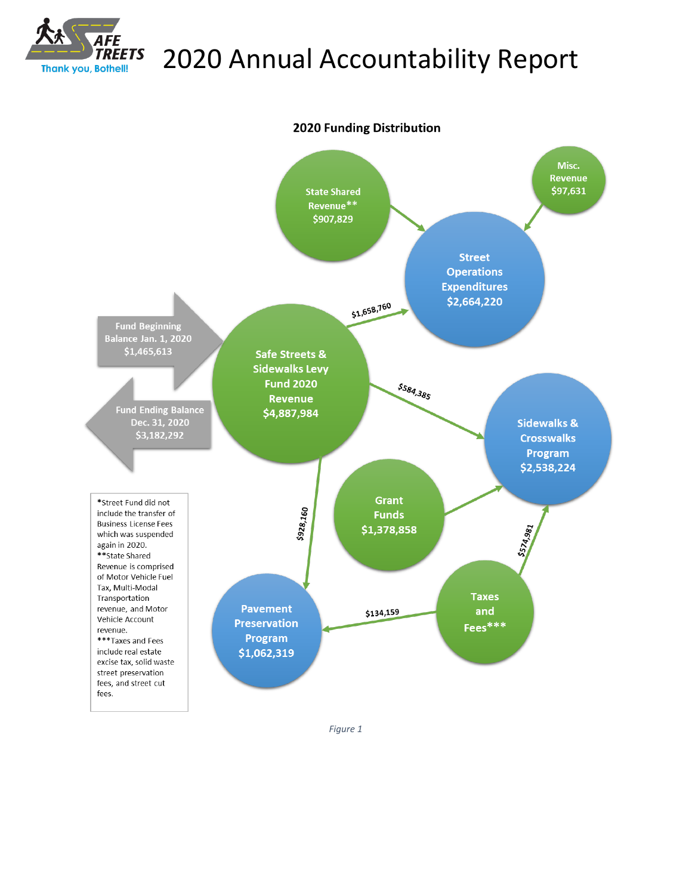



*Figure 1*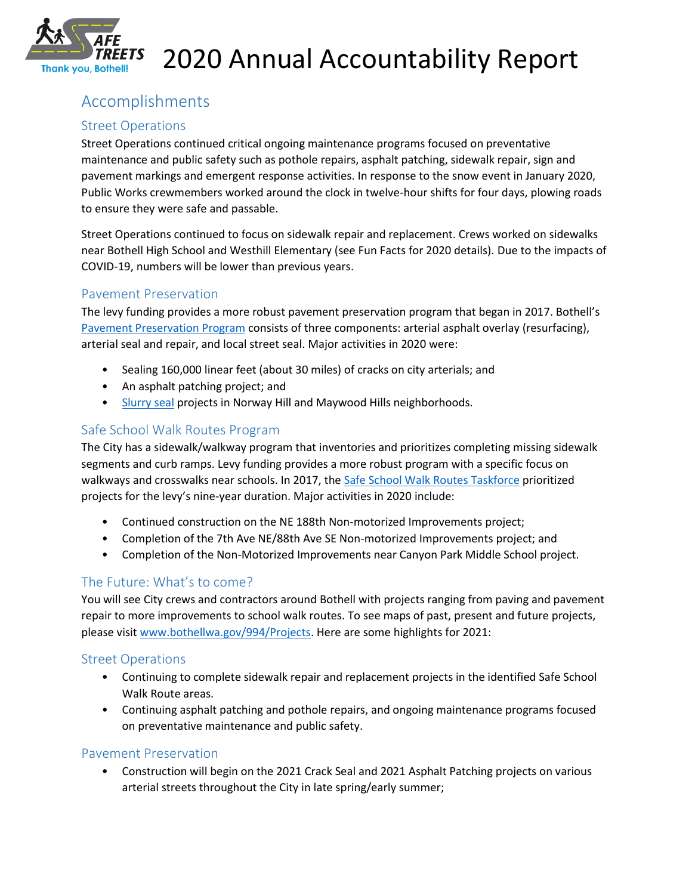

# Accomplishments

## Street Operations

Street Operations continued critical ongoing maintenance programs focused on preventative maintenance and public safety such as pothole repairs, asphalt patching, sidewalk repair, sign and pavement markings and emergent response activities. In response to the snow event in January 2020, Public Works crewmembers worked around the clock in twelve-hour shifts for four days, plowing roads to ensure they were safe and passable.

Street Operations continued to focus on sidewalk repair and replacement. Crews worked on sidewalks near Bothell High School and Westhill Elementary (see Fun Facts for 2020 details). Due to the impacts of COVID-19, numbers will be lower than previous years.

### Pavement Preservation

The levy funding provides a more robust pavement preservation program that began in 2017. Bothell's [Pavement Preservation Program](http://www.bothellwa.gov/993/Preserving-Bothells-Pavement) consists of three components: arterial asphalt overlay (resurfacing), arterial seal and repair, and local street seal. Major activities in 2020 were:

- Sealing 160,000 linear feet (about 30 miles) of cracks on city arterials; and
- An asphalt patching project; and
- [Slurry seal](http://www.bothellwa.gov/1527/2020-Slurry-Seal) projects in Norway Hill and Maywood Hills neighborhoods.

### Safe School Walk Routes Program

The City has a sidewalk/walkway program that inventories and prioritizes completing missing sidewalk segments and curb ramps. Levy funding provides a more robust program with a specific focus on walkways and crosswalks near schools. In 2017, the [Safe School Walk](http://www.bothellwa.gov/992/Safe-School-Walk-Routes-Taskforce) Routes Taskforce prioritized projects for the levy's nine-year duration. Major activities in 2020 include:

- Continued construction on the NE 188th Non-motorized Improvements project;
- Completion of the 7th Ave NE/88th Ave SE Non-motorized Improvements project; and
- Completion of the Non-Motorized Improvements near Canyon Park Middle School project.

## The Future: What's to come?

You will see City crews and contractors around Bothell with projects ranging from paving and pavement repair to more improvements to school walk routes. To see maps of past, present and future projects, please visit [www.bothellwa.gov/994/Projects.](http://www.bothellwa.gov/994/Projects) Here are some highlights for 2021:

### Street Operations

- Continuing to complete sidewalk repair and replacement projects in the identified Safe School Walk Route areas.
- Continuing asphalt patching and pothole repairs, and ongoing maintenance programs focused on preventative maintenance and public safety.

### Pavement Preservation

• Construction will begin on the 2021 Crack Seal and 2021 Asphalt Patching projects on various arterial streets throughout the City in late spring/early summer;